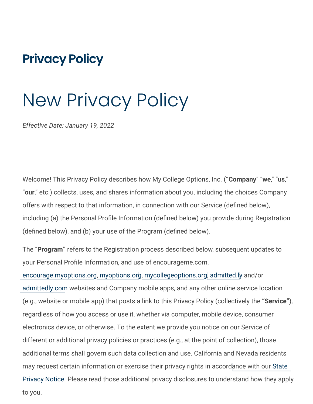# **Privacy Policy**

# New Privacy Policy

*Effective Date: January 19, 2022*

Welcome! This Privacy Policy describes how My College Options, Inc. (**"Company**" "**we**," "**us**," "**our**," etc.) collects, uses, and shares information about you, including the choices Company offers with respect to that information, in connection with our Service (defined below), including (a) the Personal Profile Information (defined below) you provide during Registration (defined below), and (b) your use of the Program (defined below).

The "**Program"** refers to the Registration process described below, subsequent updates to your Personal Profile Information, and use of encourageme.com,

[encourage.myoptions.org](https://encourage.myoptions.org/Login), [myoptions.org,](https://myoptions.org/) [mycollegeoptions.org](https://www.mycollegeoptions.org/), [admitted.ly](http://admitted.ly/) and/or [admittedly.com](http://admittedly.com/) websites and Company mobile apps, and any other online service location (e.g., website or mobile app) that posts a link to this Privacy Policy (collectively the **"Service"**), regardless of how you access or use it, whether via computer, mobile device, consumer electronics device, or otherwise. To the extent we provide you notice on our Service of different or additional privacy policies or practices (e.g., at the point of collection), those additional terms shall govern such data collection and use. California and Nevada residents may request [certain information or exercise their privacy rights in accordance with our State](https://encourageme.com/state-privacy-rights/)  Privacy Notice. Please read those additional privacy disclosures to understand how they apply to you.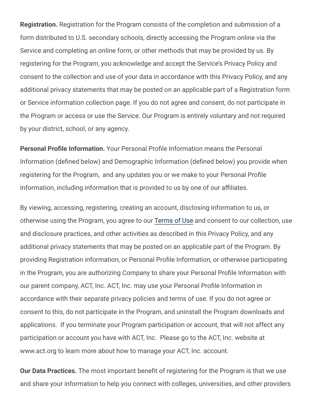**Registration.** Registration for the Program consists of the completion and submission of a form distributed to U.S. secondary schools, directly accessing the Program online via the Service and completing an online form, or other methods that may be provided by us. By registering for the Program, you acknowledge and accept the Service's Privacy Policy and consent to the collection and use of your data in accordance with this Privacy Policy, and any additional privacy statements that may be posted on an applicable part of a Registration form or Service information collection page. If you do not agree and consent, do not participate in the Program or access or use the Service. Our Program is entirely voluntary and not required by your district, school, or any agency.

**Personal Profile Information.** Your Personal Profile Information means the Personal Information (defined below) and Demographic Information (defined below) you provide when registering for the Program, and any updates you or we make to your Personal Profile Information, including information that is provided to us by one of our affiliates.

By viewing, accessing, registering, creating an account, disclosing information to us, or otherwise using the Program, you agree to our [Terms of Use](https://encourageme.com/terms-of-use/) and consent to our collection, use and disclosure practices, and other activities as described in this Privacy Policy, and any additional privacy statements that may be posted on an applicable part of the Program. By providing Registration information, or Personal Profile Information, or otherwise participating in the Program, you are authorizing Company to share your Personal Profile Information with our parent company, ACT, Inc. ACT, Inc. may use your Personal Profile Information in accordance with their separate privacy policies and terms of use. If you do not agree or consent to this, do not participate in the Program, and uninstall the Program downloads and applications. If you terminate your Program participation or account, that will not affect any participation or account you have with ACT, Inc. Please go to the ACT, Inc. website at www.act.org to learn more about how to manage your ACT, Inc. account.

**Our Data Practices.** The most important benefit of registering for the Program is that we use and share your information to help you connect with colleges, universities, and other providers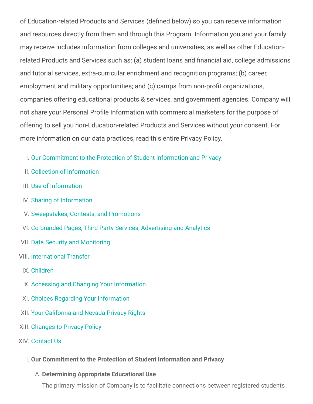of Education-related Products and Services (defined below) so you can receive information and resources directly from them and through this Program. Information you and your family may receive includes information from colleges and universities, as well as other Educationrelated Products and Services such as: (a) student loans and financial aid, college admissions and tutorial services, extra-curricular enrichment and recognition programs; (b) career, employment and military opportunities; and (c) camps from non-profit organizations, companies offering educational products & services, and government agencies. Company will not share your Personal Profile Information with commercial marketers for the purpose of offering to sell you non-Education-related Products and Services without your consent. For more information on our data practices, read this entire Privacy Policy.

- I. Our Commitment to the Protection of Student Information and Privacy
- II. Collection of Information
- III. Use of Information
- IV. Sharing of Information
- V. Sweepstakes, Contests, and Promotions
- VI. Co-branded Pages, Third Party Services, Advertising and Analytics
- VII. Data Security and Monitoring
- VIII. International Transfer
- IX. Children
- X. Accessing and Changing Your Information
- XI. Choices Regarding Your Information
- XII. Your California and Nevada Privacy Rights
- XIII. Changes to Privacy Policy
- XIV. Contact Us
	- I. **Our Commitment to the Protection of Student Information and Privacy**
		- A. **Determining Appropriate Educational Use**

The primary mission of Company is to facilitate connections between registered students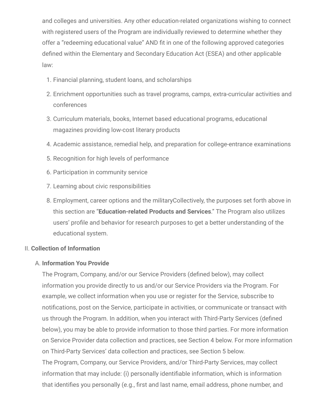and colleges and universities. Any other education-related organizations wishing to connect with registered users of the Program are individually reviewed to determine whether they offer a "redeeming educational value" AND fit in one of the following approved categories defined within the Elementary and Secondary Education Act (ESEA) and other applicable law:

- 1. Financial planning, student loans, and scholarships
- 2. Enrichment opportunities such as travel programs, camps, extra-curricular activities and conferences
- 3. Curriculum materials, books, Internet based educational programs, educational magazines providing low-cost literary products
- 4. Academic assistance, remedial help, and preparation for college-entrance examinations
- 5. Recognition for high levels of performance
- 6. Participation in community service
- 7. Learning about civic responsibilities
- 8. Employment, career options and the militaryCollectively, the purposes set forth above in this section are "**Education-related Products and Services**." The Program also utilizes users' profile and behavior for research purposes to get a better understanding of the educational system.

#### II. **Collection of Information**

#### A. **Information You Provide**

The Program, Company, and/or our Service Providers (defined below), may collect information you provide directly to us and/or our Service Providers via the Program. For example, we collect information when you use or register for the Service, subscribe to notifications, post on the Service, participate in activities, or communicate or transact with us through the Program. In addition, when you interact with Third-Party Services (defined below), you may be able to provide information to those third parties. For more information on Service Provider data collection and practices, see Section 4 below. For more information on Third-Party Services' data collection and practices, see Section 5 below. The Program, Company, our Service Providers, and/or Third-Party Services, may collect information that may include: (i) personally identifiable information, which is information that identifies you personally (e.g., first and last name, email address, phone number, and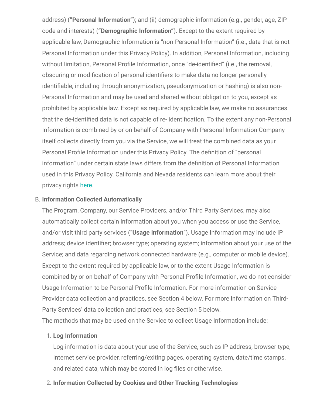address) (**"Personal Information"**); and (ii) demographic information (e.g., gender, age, ZIP code and interests) (**"Demographic Information"**). Except to the extent required by applicable law, Demographic Information is "non-Personal Information" (i.e., data that is not Personal Information under this Privacy Policy). In addition, Personal Information, including without limitation, Personal Profile Information, once "de-identified" (i.e., the removal, obscuring or modification of personal identifiers to make data no longer personally identifiable, including through anonymization, pseudonymization or hashing) is also non-Personal Information and may be used and shared without obligation to you, except as prohibited by applicable law. Except as required by applicable law, we make no assurances that the de-identified data is not capable of re- identification. To the extent any non-Personal Information is combined by or on behalf of Company with Personal Information Company itself collects directly from you via the Service, we will treat the combined data as your Personal Profile Information under this Privacy Policy. The definition of "personal information" under certain state laws differs from the definition of Personal Information used in this Privacy Policy. California and Nevada residents can learn more about their privacy rights [here](https://encourageme.com/state-privacy-rights/).

#### B. **Information Collected Automatically**

The Program, Company, our Service Providers, and/or Third Party Services, may also automatically collect certain information about you when you access or use the Service, and/or visit third party services ("**Usage Information**"). Usage Information may include IP address; device identifier; browser type; operating system; information about your use of the Service; and data regarding network connected hardware (e.g., computer or mobile device). Except to the extent required by applicable law, or to the extent Usage Information is combined by or on behalf of Company with Personal Profile Information, we do not consider Usage Information to be Personal Profile Information. For more information on Service Provider data collection and practices, see Section 4 below. For more information on Third-Party Services' data collection and practices, see Section 5 below. The methods that may be used on the Service to collect Usage Information include:

#### 1. **Log Information**

Log information is data about your use of the Service, such as IP address, browser type, Internet service provider, referring/exiting pages, operating system, date/time stamps, and related data, which may be stored in log files or otherwise.

# 2. **Information Collected by Cookies and Other Tracking Technologies**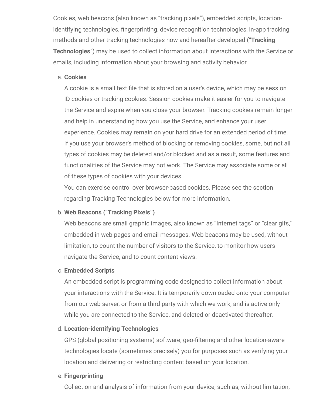Cookies, web beacons (also known as "tracking pixels"), embedded scripts, locationidentifying technologies, fingerprinting, device recognition technologies, in-app tracking methods and other tracking technologies now and hereafter developed ("**Tracking Technologies**") may be used to collect information about interactions with the Service or emails, including information about your browsing and activity behavior.

#### a. **Cookies**

A cookie is a small text file that is stored on a user's device, which may be session ID cookies or tracking cookies. Session cookies make it easier for you to navigate the Service and expire when you close your browser. Tracking cookies remain longer and help in understanding how you use the Service, and enhance your user experience. Cookies may remain on your hard drive for an extended period of time. If you use your browser's method of blocking or removing cookies, some, but not all types of cookies may be deleted and/or blocked and as a result, some features and functionalities of the Service may not work. The Service may associate some or all of these types of cookies with your devices.

You can exercise control over browser-based cookies. Please see the section regarding Tracking Technologies below for more information.

# b. **Web Beacons ("Tracking Pixels")**

Web beacons are small graphic images, also known as "Internet tags" or "clear gifs," embedded in web pages and email messages. Web beacons may be used, without limitation, to count the number of visitors to the Service, to monitor how users navigate the Service, and to count content views.

#### c. **Embedded Scripts**

An embedded script is programming code designed to collect information about your interactions with the Service. It is temporarily downloaded onto your computer from our web server, or from a third party with which we work, and is active only while you are connected to the Service, and deleted or deactivated thereafter.

# d. **Location-identifying Technologies**

GPS (global positioning systems) software, geo-filtering and other location-aware technologies locate (sometimes precisely) you for purposes such as verifying your location and delivering or restricting content based on your location.

# e. **Fingerprinting**

Collection and analysis of information from your device, such as, without limitation,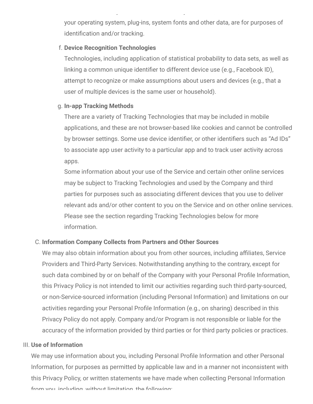your operating system, plug-ins, system fonts and other data, are for purposes of identification and/or tracking.

y y , , ,

#### f. **Device Recognition Technologies**

Technologies, including application of statistical probability to data sets, as well as linking a common unique identifier to different device use (e.g., Facebook ID), attempt to recognize or make assumptions about users and devices (e.g., that a user of multiple devices is the same user or household).

#### g. **In-app Tracking Methods**

There are a variety of Tracking Technologies that may be included in mobile applications, and these are not browser-based like cookies and cannot be controlled by browser settings. Some use device identifier, or other identifiers such as "Ad IDs" to associate app user activity to a particular app and to track user activity across apps.

Some information about your use of the Service and certain other online services may be subject to Tracking Technologies and used by the Company and third parties for purposes such as associating different devices that you use to deliver relevant ads and/or other content to you on the Service and on other online services. Please see the section regarding Tracking Technologies below for more information.

# C. **Information Company Collects from Partners and Other Sources**

We may also obtain information about you from other sources, including affiliates, Service Providers and Third-Party Services. Notwithstanding anything to the contrary, except for such data combined by or on behalf of the Company with your Personal Profile Information, this Privacy Policy is not intended to limit our activities regarding such third-party-sourced, or non-Service-sourced information (including Personal Information) and limitations on our activities regarding your Personal Profile Information (e.g., on sharing) described in this Privacy Policy do not apply. Company and/or Program is not responsible or liable for the accuracy of the information provided by third parties or for third party policies or practices.

#### III. **Use of Information**

We may use information about you, including Personal Profile Information and other Personal Information, for purposes as permitted by applicable law and in a manner not inconsistent with this Privacy Policy, or written statements we have made when collecting Personal Information from you including without limitation the following: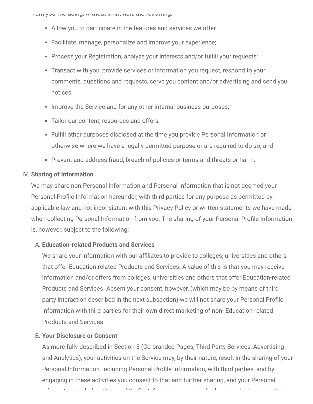- Allow you to participate in the features and services we offer
- Facilitate, manage, personalize and improve your experience;
- Process your Registration, analyze your interests and/or fulfill your requests;
- Transact with you, provide services or information you request, respond to your comments, questions and requests, serve you content and/or advertising and send you notices;
- Improve the Service and for any other internal business purposes;
- Tailor our content, resources and offers;
- Fulfill other purposes disclosed at the time you provide Personal Information or otherwise where we have a legally permitted purpose or are required to do so; and
- Prevent and address fraud, breach of policies or terms and threats or harm.

#### IV. **Sharing of Information**

We may share non-Personal Information and Personal Information that is not deemed your Personal Profile Information hereunder, with third parties for any purpose as permitted by applicable law and not inconsistent with this Privacy Policy or written statements we have made when collecting Personal Information from you. The sharing of your Personal Profile Information is, however, subject to the following:

#### A. **Education-related Products and Services**

We share your information with our affiliates to provide to colleges, universities and others that offer Education-related Products and Services. A value of this is that you may receive information and/or offers from colleges, universities and others that offer Education-related Products and Services. Absent your consent, however, (which may be by means of third party interaction described in the next subsection) we will not share your Personal Profile Information with third parties for their own direct marketing of non- Education-related Products and Services.

#### B. **Your Disclosure or Consent**

As more fully described in Section 5 (Co-branded Pages, Third Party Services, Advertising and Analytics), your activities on the Service may, by their nature, result in the sharing of your Personal Information, including Personal Profile Information, with third parties, and by engaging in these activities you consent to that and further sharing, and your Personal Information including Personal Profile Information may be disclosed to third parties Such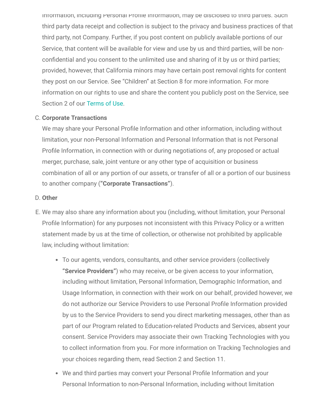Information, including Personal Profile Information, may be disclosed to third parties. Such third party data receipt and collection is subject to the privacy and business practices of that third party, not Company. Further, if you post content on publicly available portions of our Service, that content will be available for view and use by us and third parties, will be nonconfidential and you consent to the unlimited use and sharing of it by us or third parties; provided, however, that California minors may have certain post removal rights for content they post on our Service. See "Children" at Section 8 for more information. For more information on our rights to use and share the content you publicly post on the Service, see Section 2 of our [Terms of Use.](https://encourageme.com/terms-of-use/)

#### C. **Corporate Transactions**

We may share your Personal Profile Information and other information, including without limitation, your non-Personal Information and Personal Information that is not Personal Profile Information, in connection with or during negotiations of, any proposed or actual merger, purchase, sale, joint venture or any other type of acquisition or business combination of all or any portion of our assets, or transfer of all or a portion of our business to another company (**"Corporate Transactions"**).

#### D. **Other**

- E. We may also share any information about you (including, without limitation, your Personal Profile Information) for any purposes not inconsistent with this Privacy Policy or a written statement made by us at the time of collection, or otherwise not prohibited by applicable law, including without limitation:
	- To our agents, vendors, consultants, and other service providers (collectively **"Service Providers"**) who may receive, or be given access to your information, including without limitation, Personal Information, Demographic Information, and Usage Information, in connection with their work on our behalf, provided however, we do not authorize our Service Providers to use Personal Profile Information provided by us to the Service Providers to send you direct marketing messages, other than as part of our Program related to Education-related Products and Services, absent your consent. Service Providers may associate their own Tracking Technologies with you to collect information from you. For more information on Tracking Technologies and your choices regarding them, read Section 2 and Section 11.
	- We and third parties may convert your Personal Profile Information and your Personal Information to non-Personal Information, including without limitation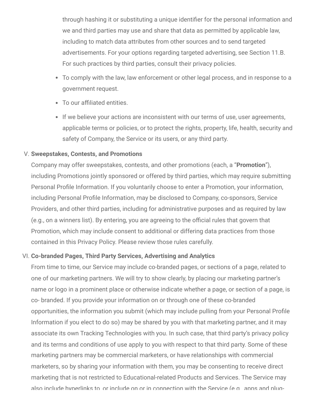through hashing it or substituting a unique identifier for the personal information and we and third parties may use and share that data as permitted by applicable law, including to match data attributes from other sources and to send targeted advertisements. For your options regarding targeted advertising, see Section 11.B. For such practices by third parties, consult their privacy policies.

- To comply with the law, law enforcement or other legal process, and in response to a government request.
- To our affiliated entities.
- If we believe your actions are inconsistent with our terms of use, user agreements, applicable terms or policies, or to protect the rights, property, life, health, security and safety of Company, the Service or its users, or any third party.

# V. **Sweepstakes, Contests, and Promotions**

Company may offer sweepstakes, contests, and other promotions (each, a "**Promotion**"), including Promotions jointly sponsored or offered by third parties, which may require submitting Personal Profile Information. If you voluntarily choose to enter a Promotion, your information, including Personal Profile Information, may be disclosed to Company, co-sponsors, Service Providers, and other third parties, including for administrative purposes and as required by law (e.g., on a winners list). By entering, you are agreeing to the official rules that govern that Promotion, which may include consent to additional or differing data practices from those contained in this Privacy Policy. Please review those rules carefully.

#### VI. **Co-branded Pages, Third Party Services, Advertising and Analytics**

From time to time, our Service may include co-branded pages, or sections of a page, related to one of our marketing partners. We will try to show clearly, by placing our marketing partner's name or logo in a prominent place or otherwise indicate whether a page, or section of a page, is co- branded. If you provide your information on or through one of these co-branded opportunities, the information you submit (which may include pulling from your Personal Profile Information if you elect to do so) may be shared by you with that marketing partner, and it may associate its own Tracking Technologies with you. In such case, that third party's privacy policy and its terms and conditions of use apply to you with respect to that third party. Some of these marketing partners may be commercial marketers, or have relationships with commercial marketers, so by sharing your information with them, you may be consenting to receive direct marketing that is not restricted to Educational-related Products and Services. The Service may also include hyperlinks to or include on or in connection with the Service (e.g. apps and plug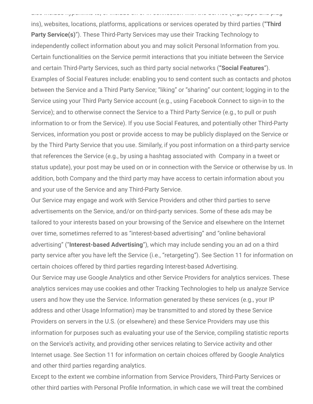ins), websites, locations, platforms, applications or services operated by third parties (**"Third Party Service(s)**"). These Third-Party Services may use their Tracking Technology to independently collect information about you and may solicit Personal Information from you. Certain functionalities on the Service permit interactions that you initiate between the Service and certain Third-Party Services, such as third party social networks (**"Social Features**"). Examples of Social Features include: enabling you to send content such as contacts and photos between the Service and a Third Party Service; "liking" or "sharing" our content; logging in to the Service using your Third Party Service account (e.g., using Facebook Connect to sign-in to the Service); and to otherwise connect the Service to a Third Party Service (e.g., to pull or push information to or from the Service). If you use Social Features, and potentially other Third-Party Services, information you post or provide access to may be publicly displayed on the Service or by the Third Party Service that you use. Similarly, if you post information on a third-party service that references the Service (e.g., by using a hashtag associated with Company in a tweet or status update), your post may be used on or in connection with the Service or otherwise by us. In addition, both Company and the third party may have access to certain information about you and your use of the Service and any Third-Party Service.

also include hyperlinks to, or include on or in connection with the Service (e.g., apps and plug

Our Service may engage and work with Service Providers and other third parties to serve advertisements on the Service, and/or on third-party services. Some of these ads may be tailored to your interests based on your browsing of the Service and elsewhere on the Internet over time, sometimes referred to as "interest-based advertising" and "online behavioral advertising" ("**Interest-based Advertising**"), which may include sending you an ad on a third party service after you have left the Service (i.e., "retargeting"). See Section 11 for information on certain choices offered by third parties regarding Interest-based Advertising.

Our Service may use Google Analytics and other Service Providers for analytics services. These analytics services may use cookies and other Tracking Technologies to help us analyze Service users and how they use the Service. Information generated by these services (e.g., your IP address and other Usage Information) may be transmitted to and stored by these Service Providers on servers in the U.S. (or elsewhere) and these Service Providers may use this information for purposes such as evaluating your use of the Service, compiling statistic reports on the Service's activity, and providing other services relating to Service activity and other Internet usage. See Section 11 for information on certain choices offered by Google Analytics and other third parties regarding analytics.

Except to the extent we combine information from Service Providers, Third-Party Services or other third parties with Personal Profile Information, in which case we will treat the combined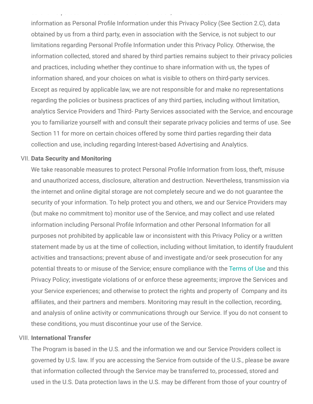information as Personal Profile Information under this Privacy Policy (See Section 2.C), data obtained by us from a third party, even in association with the Service, is not subject to our limitations regarding Personal Profile Information under this Privacy Policy. Otherwise, the information collected, stored and shared by third parties remains subject to their privacy policies and practices, including whether they continue to share information with us, the types of information shared, and your choices on what is visible to others on third-party services. Except as required by applicable law, we are not responsible for and make no representations regarding the policies or business practices of any third parties, including without limitation, analytics Service Providers and Third- Party Services associated with the Service, and encourage you to familiarize yourself with and consult their separate privacy policies and terms of use. See Section 11 for more on certain choices offered by some third parties regarding their data collection and use, including regarding Interest-based Advertising and Analytics.

other third parties with Personal Profile Information, in which case we will treat the combined

#### VII. **Data Security and Monitoring**

We take reasonable measures to protect Personal Profile Information from loss, theft, misuse and unauthorized access, disclosure, alteration and destruction. Nevertheless, transmission via the internet and online digital storage are not completely secure and we do not guarantee the security of your information. To help protect you and others, we and our Service Providers may (but make no commitment to) monitor use of the Service, and may collect and use related information including Personal Profile Information and other Personal Information for all purposes not prohibited by applicable law or inconsistent with this Privacy Policy or a written statement made by us at the time of collection, including without limitation, to identify fraudulent activities and transactions; prevent abuse of and investigate and/or seek prosecution for any potential threats to or misuse of the Service; ensure compliance with the [Terms of Use](https://encourageme.com/terms-of-use/) and this Privacy Policy; investigate violations of or enforce these agreements; improve the Services and your Service experiences; and otherwise to protect the rights and property of Company and its affiliates, and their partners and members. Monitoring may result in the collection, recording, and analysis of online activity or communications through our Service. If you do not consent to these conditions, you must discontinue your use of the Service.

#### VIII. **International Transfer**

The Program is based in the U.S. and the information we and our Service Providers collect is governed by U.S. law. If you are accessing the Service from outside of the U.S., please be aware that information collected through the Service may be transferred to, processed, stored and used in the U.S. Data protection laws in the U.S. may be different from those of your country of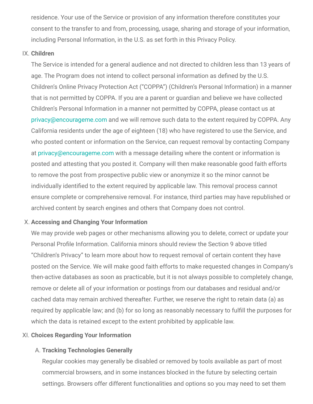residence. Your use of the Service or provision of any information therefore constitutes your consent to the transfer to and from, processing, usage, sharing and storage of your information, including Personal Information, in the U.S. as set forth in this Privacy Policy.

#### IX. **Children**

The Service is intended for a general audience and not directed to children less than 13 years of age. The Program does not intend to collect personal information as defined by the U.S. Children's Online Privacy Protection Act ("COPPA") (Children's Personal Information) in a manner that is not permitted by COPPA. If you are a parent or guardian and believe we have collected Children's Personal Information in a manner not permitted by COPPA, please contact us at [privacy@encourageme.com](mailto:privacy@encourageme.com) and we will remove such data to the extent required by COPPA. Any California residents under the age of eighteen (18) who have registered to use the Service, and who posted content or information on the Service, can request removal by contacting Company at [privacy@encourageme.com](mailto:privacy@encourageme.com) with a message detailing where the content or information is posted and attesting that you posted it. Company will then make reasonable good faith efforts to remove the post from prospective public view or anonymize it so the minor cannot be individually identified to the extent required by applicable law. This removal process cannot ensure complete or comprehensive removal. For instance, third parties may have republished or archived content by search engines and others that Company does not control.

#### X. **Accessing and Changing Your Information**

We may provide web pages or other mechanisms allowing you to delete, correct or update your Personal Profile Information. California minors should review the Section 9 above titled "Children's Privacy" to learn more about how to request removal of certain content they have posted on the Service. We will make good faith efforts to make requested changes in Company's then-active databases as soon as practicable, but it is not always possible to completely change, remove or delete all of your information or postings from our databases and residual and/or cached data may remain archived thereafter. Further, we reserve the right to retain data (a) as required by applicable law; and (b) for so long as reasonably necessary to fulfill the purposes for which the data is retained except to the extent prohibited by applicable law.

#### XI. **Choices Regarding Your Information**

#### A. **Tracking Technologies Generally**

Regular cookies may generally be disabled or removed by tools available as part of most commercial browsers, and in some instances blocked in the future by selecting certain settings. Browsers offer different functionalities and options so you may need to set them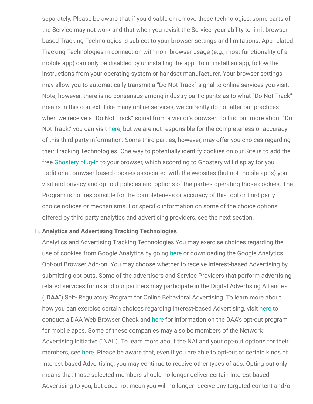separately. Please be aware that if you disable or remove these technologies, some parts of the Service may not work and that when you revisit the Service, your ability to limit browserbased Tracking Technologies is subject to your browser settings and limitations. App-related Tracking Technologies in connection with non- browser usage (e.g., most functionality of a mobile app) can only be disabled by uninstalling the app. To uninstall an app, follow the instructions from your operating system or handset manufacturer. Your browser settings may allow you to automatically transmit a "Do Not Track" signal to online services you visit. Note, however, there is no consensus among industry participants as to what "Do Not Track" means in this context. Like many online services, we currently do not alter our practices when we receive a "Do Not Track" signal from a visitor's browser. To find out more about "Do Not Track," you can visit [here](https://allaboutdnt.com/), but we are not responsible for the completeness or accuracy of this third party information. Some third parties, however, may offer you choices regarding their Tracking Technologies. One way to potentially identify cookies on our Site is to add the free [Ghostery plug-in](https://www.ghostery.com/) to your browser, which according to Ghostery will display for you traditional, browser-based cookies associated with the websites (but not mobile apps) you visit and privacy and opt-out policies and options of the parties operating those cookies. The Program is not responsible for the completeness or accuracy of this tool or third party choice notices or mechanisms. For specific information on some of the choice options offered by third party analytics and advertising providers, see the next section.

#### B. **Analytics and Advertising Tracking Technologies**

Analytics and Advertising Tracking Technologies You may exercise choices regarding the use of cookies from Google Analytics by going [here](https://tools.google.com/dlpage/gaoptout) or downloading the Google Analytics Opt-out Browser Add-on. You may choose whether to receive Interest-based Advertising by submitting opt-outs. Some of the advertisers and Service Providers that perform advertisingrelated services for us and our partners may participate in the Digital Advertising Alliance's (**"DAA"**) Self- Regulatory Program for Online Behavioral Advertising. To learn more about how you can exercise certain choices regarding Interest-based Advertising, visit [here](https://optout.aboutads.info/?lang=EN&c=2) to conduct a DAA Web Browser Check and [here](https://youradchoices.com/appchoices) for information on the DAA's opt-out program for mobile apps. Some of these companies may also be members of the Network Advertising Initiative ("NAI"). To learn more about the NAI and your opt-out options for their members, see [here.](https://optout.networkadvertising.org/?c=1#completed) Please be aware that, even if you are able to opt-out of certain kinds of Interest-based Advertising, you may continue to receive other types of ads. Opting out only means that those selected members should no longer deliver certain Interest-based Advertising to you, but does not mean you will no longer receive any targeted content and/or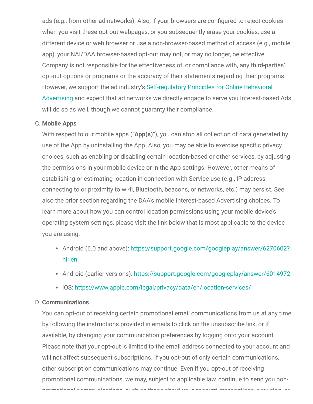ads (e.g., from other ad networks). Also, if your browsers are configured to reject cookies when you visit these opt-out webpages, or you subsequently erase your cookies, use a different device or web browser or use a non-browser-based method of access (e.g., mobile app), your NAI/DAA browser-based opt-out may not, or may no longer, be effective. Company is not responsible for the effectiveness of, or compliance with, any third-parties' opt-out options or programs or the accuracy of their statements regarding their programs. [However, we support the ad industry's Self-regulatory Principles for Online Behavioral](https://iab.com/wp-content/uploads/2015/05/ven-principles-07-01-09.pdf) Advertising and expect that ad networks we directly engage to serve you Interest-based Ads will do so as well, though we cannot guaranty their compliance.

#### C. **Mobile Apps**

With respect to our mobile apps (**"App(s)**"), you can stop all collection of data generated by use of the App by uninstalling the App. Also, you may be able to exercise specific privacy choices, such as enabling or disabling certain location-based or other services, by adjusting the permissions in your mobile device or in the App settings. However, other means of establishing or estimating location in connection with Service use (e.g., IP address, connecting to or proximity to wi-fi, Bluetooth, beacons, or networks, etc.) may persist. See also the prior section regarding the DAA's mobile Interest-based Advertising choices. To learn more about how you can control location permissions using your mobile device's operating system settings, please visit the link below that is most applicable to the device you are using:

- [Android \(6.0 and above\): https://support.google.com/googleplay/answer/6270602?](https://support.google.com/googleplay/answer/6270602?hl=en) hl=en
- Android (earlier versions):<https://support.google.com/googleplay/answer/6014972>
- iOS: <https://www.apple.com/legal/privacy/data/en/location-services/>

#### D. **Communications**

You can opt-out of receiving certain promotional email communications from us at any time by following the instructions provided in emails to click on the unsubscribe link, or if available, by changing your communication preferences by logging onto your account. Please note that your opt-out is limited to the email address connected to your account and will not affect subsequent subscriptions. If you opt-out of only certain communications, other subscription communications may continue. Even if you opt-out of receiving promotional communications, we may, subject to applicable law, continue to send you non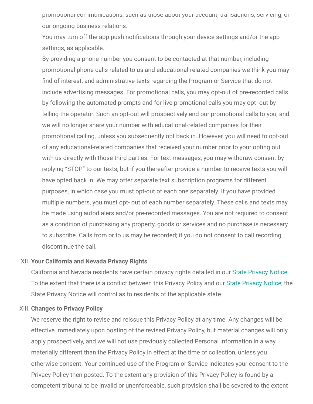promotional communications, such as those about your account, transactions, servicing, or our ongoing business relations.

You may turn off the app push notifications through your device settings and/or the app settings, as applicable.

By providing a phone number you consent to be contacted at that number, including promotional phone calls related to us and educational-related companies we think you may find of interest, and administrative texts regarding the Program or Service that do not include advertising messages. For promotional calls, you may opt-out of pre-recorded calls by following the automated prompts and for live promotional calls you may opt- out by telling the operator. Such an opt-out will prospectively end our promotional calls to you, and we will no longer share your number with educational-related companies for their promotional calling, unless you subsequently opt back in. However, you will need to opt-out of any educational-related companies that received your number prior to your opting out with us directly with those third parties. For text messages, you may withdraw consent by replying "STOP" to our texts, but if you thereafter provide a number to receive texts you will have opted back in. We may offer separate text subscription programs for different purposes, in which case you must opt-out of each one separately. If you have provided multiple numbers, you must opt- out of each number separately. These calls and texts may be made using autodialers and/or pre-recorded messages. You are not required to consent as a condition of purchasing any property, goods or services and no purchase is necessary to subscribe. Calls from or to us may be recorded; if you do not consent to call recording, discontinue the call.

#### XII. **Your California and Nevada Privacy Rights**

California and Nevada residents have certain privacy rights detailed in our [State Privacy Notice](https://encourageme.com/state-privacy-rights/). To the extent that there is a conflict between this Privacy Policy and our [State Privacy Notice](https://encourageme.com/state-privacy-rights/), the State Privacy Notice will control as to residents of the applicable state.

#### XIII. **Changes to Privacy Policy**

We reserve the right to revise and reissue this Privacy Policy at any time. Any changes will be effective immediately upon posting of the revised Privacy Policy, but material changes will only apply prospectively, and we will not use previously collected Personal Information in a way materially different than the Privacy Policy in effect at the time of collection, unless you otherwise consent. Your continued use of the Program or Service indicates your consent to the Privacy Policy then posted. To the extent any provision of this Privacy Policy is found by a competent tribunal to be invalid or unenforceable, such provision shall be severed to the extent